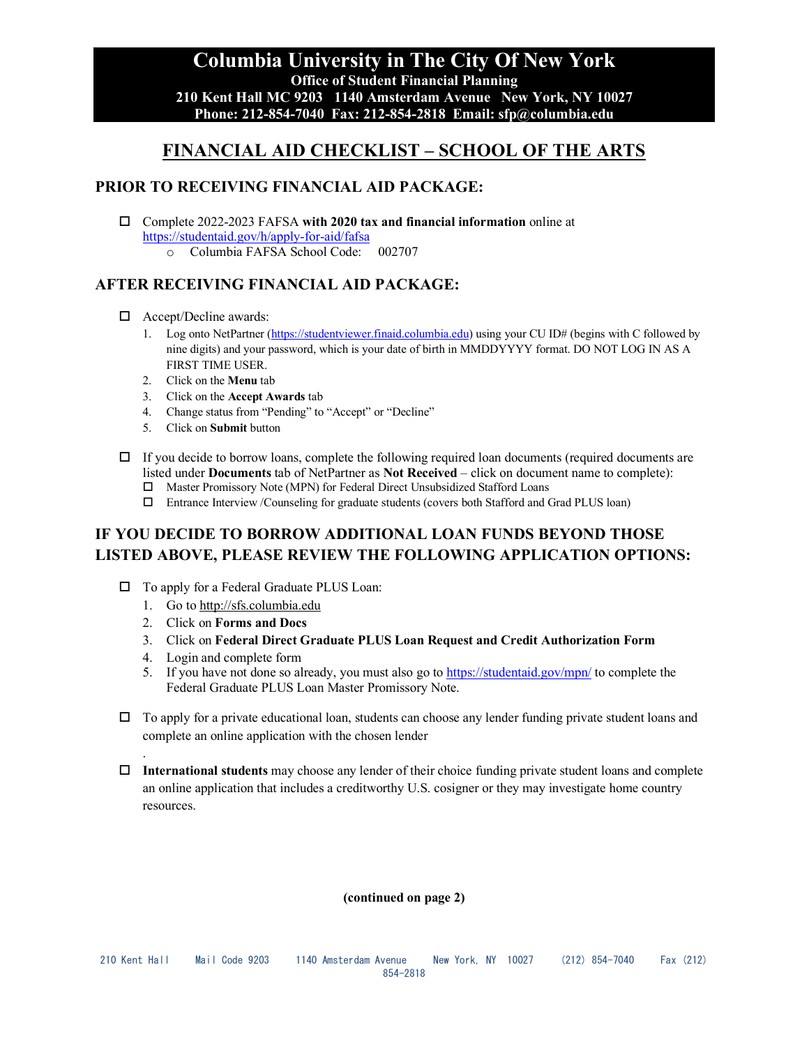### **Columbia University in The City Of New York Office of Student Financial Planning 210 Kent Hall MC 9203 1140 Amsterdam Avenue New York, NY 10027 Phone: 212-854-7040 Fax: 212-854-2818 Email: sfp@columbia.edu**

# **FINANCIAL AID CHECKLIST – SCHOOL OF THE ARTS**

### **PRIOR TO RECEIVING FINANCIAL AID PACKAGE:**

- Complete 2022-2023 FAFSA **with 2020 tax and financial information** online at <https://studentaid.gov/h/apply-for-aid/fafsa>
	- o Columbia FAFSA School Code: 002707

## **AFTER RECEIVING FINANCIAL AID PACKAGE:**

- □ Accept/Decline awards:
	- 1. Log onto NetPartner [\(https://studentviewer.finaid.columbia.edu\)](https://studentviewer.finaid.columbia.edu/) using your CU ID# (begins with C followed by nine digits) and your password, which is your date of birth in MMDDYYYY format. DO NOT LOG IN AS A FIRST TIME USER.
	- 2. Click on the **Menu** tab
	- 3. Click on the **Accept Awards** tab
	- 4. Change status from "Pending" to "Accept" or "Decline"
	- 5. Click on **Submit** button
- $\Box$  If you decide to borrow loans, complete the following required loan documents (required documents are listed under **Documents** tab of NetPartner as **Not Received** – click on document name to complete):
	- Master Promissory Note (MPN) for Federal Direct Unsubsidized Stafford Loans
	- Entrance Interview /Counseling for graduate students (covers both Stafford and Grad PLUS loan)

# **IF YOU DECIDE TO BORROW ADDITIONAL LOAN FUNDS BEYOND THOSE LISTED ABOVE, PLEASE REVIEW THE FOLLOWING APPLICATION OPTIONS:**

- □ To apply for a Federal Graduate PLUS Loan:
	- 1. Go to http://sfs.columbia.edu
		- 2. Click on **Forms and Docs**
		- 3. Click on **Federal Direct Graduate PLUS Loan Request and Credit Authorization Form**
		- 4. Login and complete form

.

- 5. If you have not done so already, you must also go to<https://studentaid.gov/mpn/> to complete the Federal Graduate PLUS Loan Master Promissory Note.
- $\Box$  To apply for a private educational loan, students can choose any lender funding private student loans and complete an online application with the chosen lender
- **International students** may choose any lender of their choice funding private student loans and complete an online application that includes a creditworthy U.S. cosigner or they may investigate home country resources.

**(continued on page 2)**